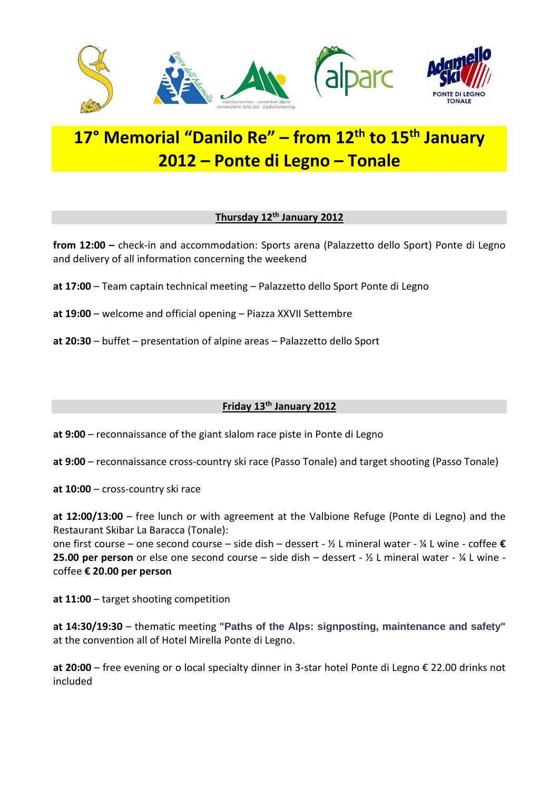

# **17° Memorial "Danilo Re" – from 12th to 15th January 2012 – Ponte di Legno – Tonale**

### **Thursday 12th January 2012**

**from 12:00 –** check-in and accommodation: Sports arena (Palazzetto dello Sport) Ponte di Legno and delivery of all information concerning the weekend

- **at 17:00** Team captain technical meeting Palazzetto dello Sport Ponte di Legno
- **at 19:00** welcome and official opening Piazza XXVII Settembre
- **at 20:30** buffet presentation of alpine areas Palazzetto dello Sport

## **Friday 13th January 2012**

**at 9:00** – reconnaissance of the giant slalom race piste in Ponte di Legno

**at 9:00** – reconnaissance cross-country ski race (Passo Tonale) and target shooting (Passo Tonale)

**at 10:00** – cross-country ski race

**at 12:00/13:00** – free lunch or with agreement at the Valbione Refuge (Ponte di Legno) and the Restaurant Skibar La Baracca (Tonale):

one first course – one second course – side dish – dessert - ½ L mineral water - ¼ L wine - coffee **€ 25.00 per person** or else one second course – side dish – dessert - ½ L mineral water - ¼ L wine coffee **€ 20.00 per person**

**at 11:00** – target shooting competition

**at 14:30/19:30** – thematic meeting **"Paths of the Alps: signposting, maintenance and safety"** at the convention all of Hotel Mirella Ponte di Legno.

**at 20:00** – free evening or o local specialty dinner in 3-star hotel Ponte di Legno € 22.00 drinks not included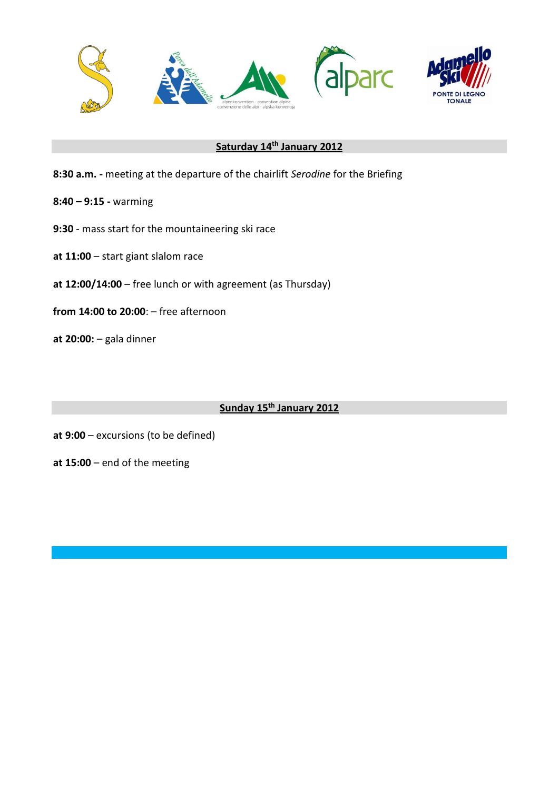

## **Saturday 14th January 2012**

- **8:30 a.m. -** meeting at the departure of the chairlift *Serodine* for the Briefing
- **8:40 – 9:15 -** warming
- **9:30** mass start for the mountaineering ski race
- **at 11:00** start giant slalom race
- **at 12:00/14:00** free lunch or with agreement (as Thursday)
- **from 14:00 to 20:00**: free afternoon
- **at 20:00:**  gala dinner

## **Sunday 15th January 2012**

- **at 9:00** excursions (to be defined)
- **at 15:00** end of the meeting